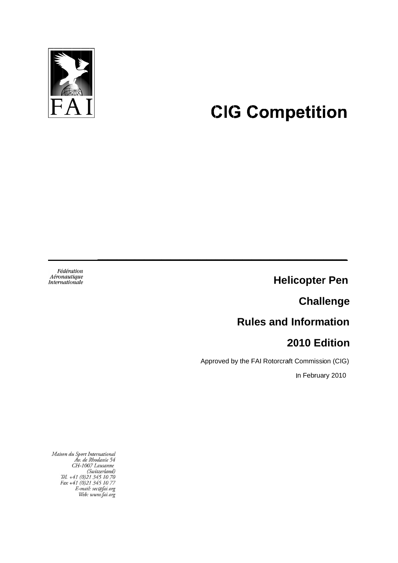

## **CIG Competition**

Fédération<br>Aéronautique<br>Internationale

**Challenge**

# $\begin{bmatrix} 1 \\ 2 \\ 3 \\ 4 \end{bmatrix}$ **Rules and Information Challenge<br>
Challenge<br>
Rules and Information<br>
2010 Edition<br>
by the FAI Rotorcraft Commission (CIG)** Rules and Info<br>2010

### **20 10 Edition**

Approved by the FAI Rotorcraft Commission (CIG)<br>In February 2010

**\_\_\_\_\_\_\_\_\_\_\_\_\_\_\_\_\_\_\_\_\_\_\_\_\_\_\_\_\_\_\_\_\_\_\_\_\_\_\_\_\_\_\_\_\_\_\_\_ \_\_\_\_\_\_\_\_\_\_\_\_\_\_\_\_\_\_\_\_\_\_\_\_\_\_\_\_\_\_\_\_\_\_\_\_\_\_\_\_\_\_\_\_\_\_\_\_**

In February 2010

Maison du Sport International<br>Av. de Rhodanie 54<br>CH-1007 Lausanne<br>(Switzerland)<br>Tél. +41 (0)21 345 10 70<br>Fax +41 (0)21 345 10 77<br>E-mail: sec@fai.org<br>Web: www.fai.org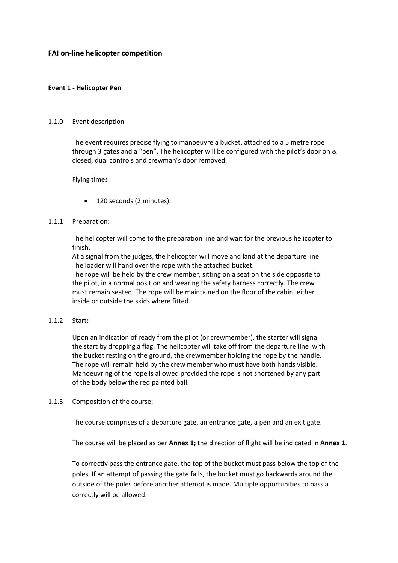#### **FAI on-line helicopter competition**

#### **Event 1 - Helicopter Pen**

#### 1.1.0 Event description

The event requires precise flying to manoeuvre a bucket, attached to a 5 metre rope through 3 gates and a "pen". The helicopter will be configured with the pilot's door on & closed, dual controls and crewman's door removed.

Flying times:

120 seconds (2 minutes).

#### 1.1.1 Preparation:

The helicopter will come to the preparation line and wait for the previous helicopter to finish.

At a signal from the judges, the helicopter will move and land at the departure line. The loader will hand over the rope with the attached bucket.

The rope will be held by the crew member, sitting on a seat on the side opposite to the pilot, in a normal position and wearing the safety harness correctly. The crew must remain seated. The rope will be maintained on the floor of the cabin, either inside or outside the skids where fitted.

#### 1.1.2 Start:

Upon an indication of ready from the pilot (or crewmember), the starter will signal the start by dropping a flag. The helicopter will take off from the departure line with the bucket resting on the ground, the crewmember holding the rope by the handle. The rope will remain held by the crew member who must have both hands visible. Manoeuvring of the rope is allowed provided the rope is not shortened by any part of the body below the red painted ball.

#### 1.1.3 Composition of the course:

The course comprises of a departure gate, an entrance gate, a pen and an exit gate.

The course will be placed as per **Annex 1;** the direction of flight will be indicated in **Annex 1**.

To correctly pass the entrance gate, the top of the bucket must pass below the top of the poles. If an attempt of passing the gate fails, the bucket must go backwards around the outside of the poles before another attempt is made. Multiple opportunities to pass a correctly will be allowed.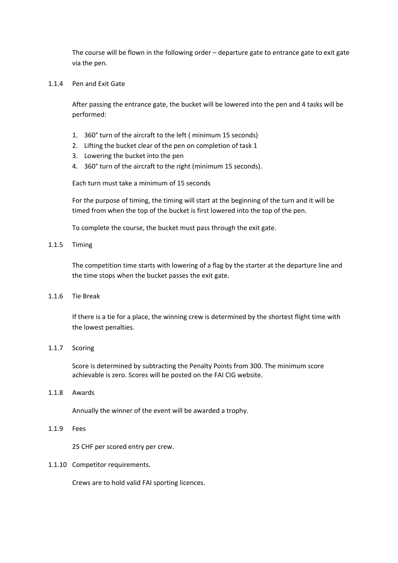The course will be flown in the following order – departure gate to entrance gate to exit gate via the pen.

1.1.4 Pen and Exit Gate

After passing the entrance gate, the bucket will be lowered into the pen and 4 tasks will be performed:

- 1. 360° turn of the aircraft to the left ( minimum 15 seconds)
- 2. Lifting the bucket clear of the pen on completion of task 1
- 3. Lowering the bucket into the pen
- 4. 360° turn of the aircraft to the right (minimum 15 seconds).

Each turn must take a minimum of 15 seconds

For the purpose of timing, the timing will start at the beginning of the turn and it will be timed from when the top of the bucket is first lowered into the top of the pen.

To complete the course, the bucket must pass through the exit gate.

1.1.5 Timing

The competition time starts with lowering of a flag by the starter at the departure line and the time stops when the bucket passes the exit gate.

1.1.6 Tie Break

If there is a tie for a place, the winning crew is determined by the shortest flight time with the lowest penalties.

#### 1.1.7 Scoring

Score is determined by subtracting the Penalty Points from 300. The minimum score achievable is zero. Scores will be posted on the FAI CIG website.

#### 1.1.8 Awards

Annually the winner of the event will be awarded a trophy.

#### 1.1.9 Fees

25 CHF per scored entry per crew.

#### 1.1.10 Competitor requirements.

Crews are to hold valid FAI sporting licences.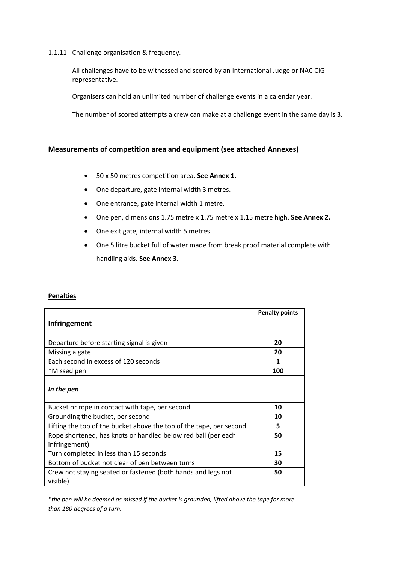#### 1.1.11 Challenge organisation & frequency.

All challenges have to be witnessed and scored by an International Judge or NAC CIG representative.

Organisers can hold an unlimited number of challenge events in a calendar year.

The number of scored attempts a crew can make at a challenge event in the same day is 3.

#### **Measurements of competition area and equipment (see attached Annexes)**

- 50 x 50 metres competition area. **See Annex 1.**
- One departure, gate internal width 3 metres.
- One entrance, gate internal width 1 metre.
- One pen, dimensions 1.75 metre x 1.75 metre x 1.15 metre high. **See Annex 2.**
- One exit gate, internal width 5 metres
- One 5 litre bucket full of water made from break proof material complete with handling aids. **See Annex 3.**

#### **Penalties**

| <b>Infringement</b>                                                            | <b>Penalty points</b> |
|--------------------------------------------------------------------------------|-----------------------|
| Departure before starting signal is given                                      | 20                    |
| Missing a gate                                                                 | 20                    |
| Each second in excess of 120 seconds                                           | 1                     |
| *Missed pen                                                                    | 100                   |
| In the pen                                                                     |                       |
| Bucket or rope in contact with tape, per second                                | 10                    |
| Grounding the bucket, per second                                               | 10                    |
| Lifting the top of the bucket above the top of the tape, per second            | 5                     |
| Rope shortened, has knots or handled below red ball (per each<br>infringement) | 50                    |
| Turn completed in less than 15 seconds                                         | 15                    |
| Bottom of bucket not clear of pen between turns                                | 30                    |
| Crew not staying seated or fastened (both hands and legs not<br>visible)       | 50                    |

*\*the pen will be deemed as missed if the bucket is grounded, lifted above the tape for more than 180 degrees of a turn.*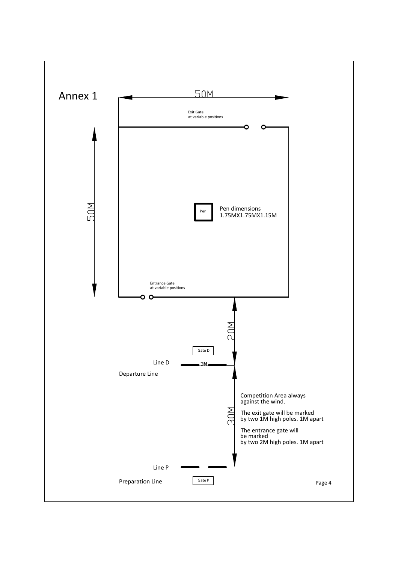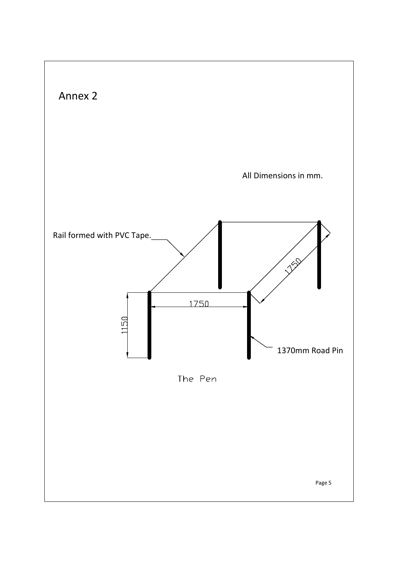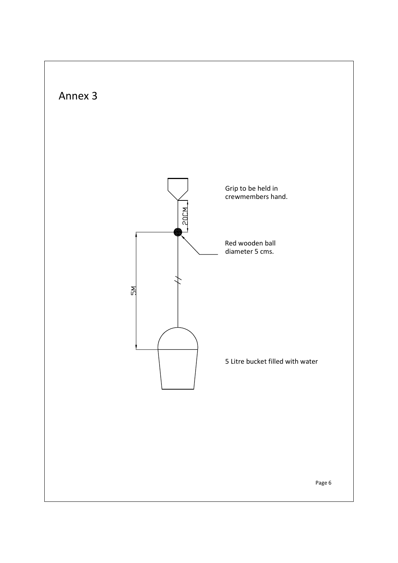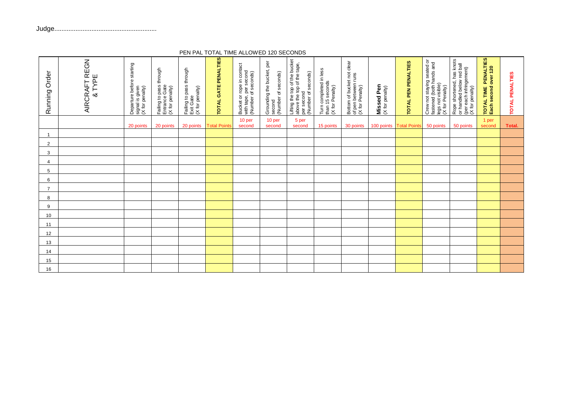| Order<br>Running | AIRCRAFT REGN<br>& TYPE | Departure before starting<br>signal is given<br>(X for penalty) | Failing to pass through<br>Entrance Gate<br>(X for penalty) | Failing to pass through<br>Exit Gate<br>(X for penalty) | TOTAL GATE PENALTIES | Bucket or rope in contact<br>with tape, per second<br>(Number of seconds) | Grounding the bucket, per<br>(Number of seconds)<br>second | Lifting the top of the bucket<br>above the top of the tape,<br>per second<br>(Number of seconds) | Turn completed in less<br>than 15 seconds<br>(X for Penalty) | Bottom of bucket not clear<br>of pen between runs<br>(X for Penalty) | <b>Missed Pen</b><br>(X for penalty) | <b>TOTAL PEN PENALTIES</b> | Crew not staying seated or<br>fastened (both hands and<br>legs not visible)<br>(X for Penalty) | Rope shortened, has knots<br>or handled below red ball<br>(per each infringement)<br>(X for penalty) | TOTAL TIME PENALTIES<br>Each second over 120 | TOTAL PENALTIES |
|------------------|-------------------------|-----------------------------------------------------------------|-------------------------------------------------------------|---------------------------------------------------------|----------------------|---------------------------------------------------------------------------|------------------------------------------------------------|--------------------------------------------------------------------------------------------------|--------------------------------------------------------------|----------------------------------------------------------------------|--------------------------------------|----------------------------|------------------------------------------------------------------------------------------------|------------------------------------------------------------------------------------------------------|----------------------------------------------|-----------------|
|                  |                         | 20 points                                                       | 20 points                                                   | 20 points                                               | <b>Total Point</b>   | 10 per<br>second                                                          | 10 per<br>second                                           | 5 per<br>second                                                                                  | 15 points                                                    | 30 points                                                            | 100 points                           | <b>Total Points</b>        | 50 points                                                                                      | 50 points                                                                                            | 1 per<br>second                              | Total.          |
|                  |                         |                                                                 |                                                             |                                                         |                      |                                                                           |                                                            |                                                                                                  |                                                              |                                                                      |                                      |                            |                                                                                                |                                                                                                      |                                              |                 |
| 2                |                         |                                                                 |                                                             |                                                         |                      |                                                                           |                                                            |                                                                                                  |                                                              |                                                                      |                                      |                            |                                                                                                |                                                                                                      |                                              |                 |
| 3                |                         |                                                                 |                                                             |                                                         |                      |                                                                           |                                                            |                                                                                                  |                                                              |                                                                      |                                      |                            |                                                                                                |                                                                                                      |                                              |                 |
| 4                |                         |                                                                 |                                                             |                                                         |                      |                                                                           |                                                            |                                                                                                  |                                                              |                                                                      |                                      |                            |                                                                                                |                                                                                                      |                                              |                 |
| 5                |                         |                                                                 |                                                             |                                                         |                      |                                                                           |                                                            |                                                                                                  |                                                              |                                                                      |                                      |                            |                                                                                                |                                                                                                      |                                              |                 |
| 6                |                         |                                                                 |                                                             |                                                         |                      |                                                                           |                                                            |                                                                                                  |                                                              |                                                                      |                                      |                            |                                                                                                |                                                                                                      |                                              |                 |
| $\overline{7}$   |                         |                                                                 |                                                             |                                                         |                      |                                                                           |                                                            |                                                                                                  |                                                              |                                                                      |                                      |                            |                                                                                                |                                                                                                      |                                              |                 |
| 8                |                         |                                                                 |                                                             |                                                         |                      |                                                                           |                                                            |                                                                                                  |                                                              |                                                                      |                                      |                            |                                                                                                |                                                                                                      |                                              |                 |
| 9                |                         |                                                                 |                                                             |                                                         |                      |                                                                           |                                                            |                                                                                                  |                                                              |                                                                      |                                      |                            |                                                                                                |                                                                                                      |                                              |                 |
| 10               |                         |                                                                 |                                                             |                                                         |                      |                                                                           |                                                            |                                                                                                  |                                                              |                                                                      |                                      |                            |                                                                                                |                                                                                                      |                                              |                 |
| 11               |                         |                                                                 |                                                             |                                                         |                      |                                                                           |                                                            |                                                                                                  |                                                              |                                                                      |                                      |                            |                                                                                                |                                                                                                      |                                              |                 |
| 12               |                         |                                                                 |                                                             |                                                         |                      |                                                                           |                                                            |                                                                                                  |                                                              |                                                                      |                                      |                            |                                                                                                |                                                                                                      |                                              |                 |
| 13               |                         |                                                                 |                                                             |                                                         |                      |                                                                           |                                                            |                                                                                                  |                                                              |                                                                      |                                      |                            |                                                                                                |                                                                                                      |                                              |                 |
| 14               |                         |                                                                 |                                                             |                                                         |                      |                                                                           |                                                            |                                                                                                  |                                                              |                                                                      |                                      |                            |                                                                                                |                                                                                                      |                                              |                 |
| 15               |                         |                                                                 |                                                             |                                                         |                      |                                                                           |                                                            |                                                                                                  |                                                              |                                                                      |                                      |                            |                                                                                                |                                                                                                      |                                              |                 |
| 16               |                         |                                                                 |                                                             |                                                         |                      |                                                                           |                                                            |                                                                                                  |                                                              |                                                                      |                                      |                            |                                                                                                |                                                                                                      |                                              |                 |

PEN PAL TOTAL TIME ALLOWED 120 SECONDS

Judge..........................................................